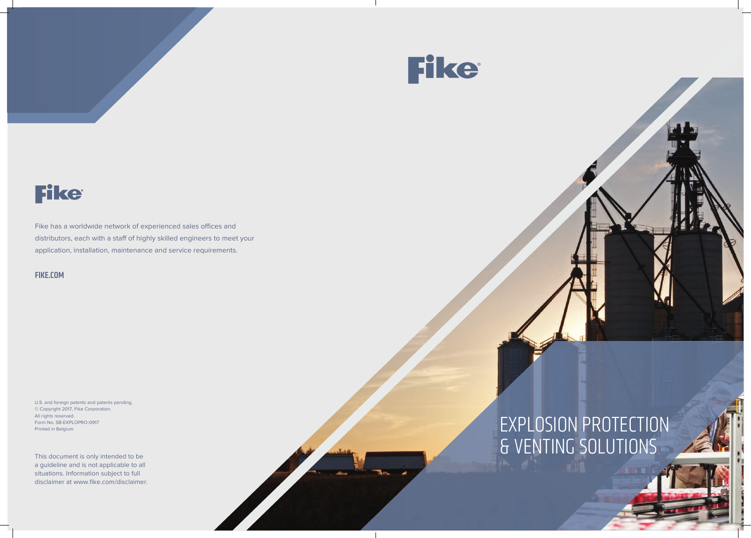

## **Fike**

Fike has a worldwide network of experienced sales offices and distributors, each with a staff of highly skilled engineers to meet your application, installation, maintenance and service requirements.

## All rights reserved.<br>Printed in Belgium **EXPLOSION PROTECTION** & VENTING SOLUTIONS

### FIKE.COM

U.S. and foreign patents and patents pending. © Copyright 2017, Fike Corporation. All rights reserved. Form No. SB-EXPLOPRO-0917

This document is only intended to be a guideline and is not applicable to all situations. Information subject to full disclaimer at www.fike.com/disclaimer.